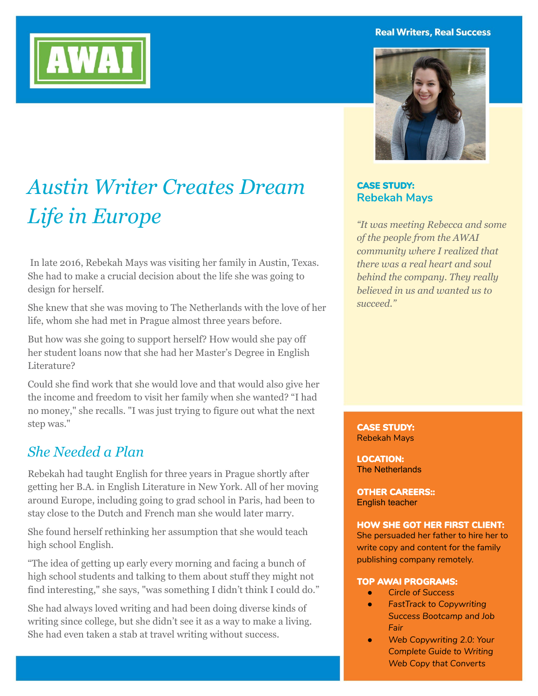#### **Real Writers, Real Success**



# *Austin Writer Creates Dream Life in Europe*

 In late 2016, Rebekah Mays was visiting her family in Austin, Texas. She had to make a crucial decision about the life she was going to design for herself.

She knew that she was moving to The Netherlands with the love of her life, whom she had met in Prague almost three years before.

But how was she going to support herself? How would she pay off her student loans now that she had her Master's Degree in English Literature?

Could she find work that she would love and that would also give her the income and freedom to visit her family when she wanted? "I had no money," she recalls. "I was just trying to figure out what the next step was."

### *She Needed a Plan*

Rebekah had taught English for three years in Prague shortly after getting her B.A. in English Literature in New York. All of her moving around Europe, including going to grad school in Paris, had been to stay close to the Dutch and French man she would later marry.

She found herself rethinking her assumption that she would teach high school English.

"The idea of getting up early every morning and facing a bunch of high school students and talking to them about stuff they might not find interesting," she says, "was something I didn't think I could do."

She had always loved writing and had been doing diverse kinds of writing since college, but she didn't see it as a way to make a living. She had even taken a stab at travel writing without success.

### **CASE STUDY: Rebekah Mays**

*"It was meeting Rebecca and some of the people from the AWAI community where I realized that there was a real heart and soul behind the company. They really believed in us and wanted us to succeed."*

#### **CASE STUDY:** Rebekah Mays

**LOCATION:** The Netherlands

**OTHER CAREERS::** English teacher

#### **HOW SHE GOT HER FIRST CLIENT:**

She persuaded her father to hire her to write copy and content for the family publishing company remotely.

#### **TOP AWAI PROGRAMS:**

- *Circle of Success*
- *FastTrack to Copywriting Success Bootcamp and Job Fair*
- *Web Copywriting 2.0: Your Complete Guide to Writing Web Copy that Converts*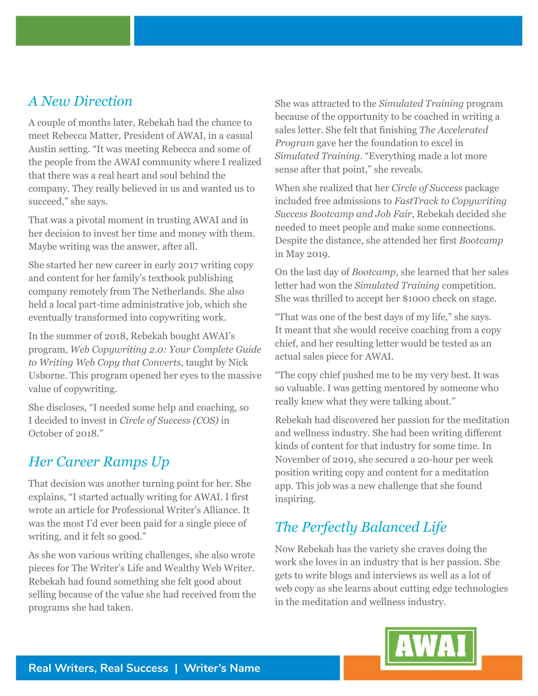### *A New Direction*

A couple of months later, Rebekah had the chance to meet Rebecca Matter, President of AWAI, in a casual Austin setting. "It was meeting Rebecca and some of the people from the AWAI community where I realized that there was a real heart and soul behind the company. They really believed in us and wanted us to succeed," she says.

That was a pivotal moment in trusting AWAI and in her decision to invest her time and money with them. Maybe writing was the answer, after all.

She started her new career in early 2017 writing copy and content for her family's textbook publishing company remotely from The Netherlands. She also held a local part-time administrative job, which she eventually transformed into copywriting work.

In the summer of 2018, Rebekah bought AWAI's program, *Web Copywriting 2.0: Your Complete Guide to Writing Web Copy that Converts*, taught by Nick Usborne. This program opened her eyes to the massive value of copywriting.

She discloses, "I needed some help and coaching, so I decided to invest in *Circle of Success (COS)* in October of 2018."

### *Her Career Ramps Up*

That decision was another turning point for her. She explains, "I started actually writing for AWAI. I first wrote an article for Professional Writer's Alliance. It was the most I'd ever been paid for a single piece of writing, and it felt so good."

As she won various writing challenges, she also wrote pieces for The Writer's Life and Wealthy Web Writer. Rebekah had found something she felt good about selling because of the value she had received from the programs she had taken.

She was attracted to the *Simulated Training* program because of the opportunity to be coached in writing a sales letter. She felt that finishing *The Accelerated Program* gave her the foundation to excel in *Simulated Training*. "Everything made a lot more sense after that point," she reveals.

When she realized that her *Circle of Success* package included free admissions to *FastTrack to Copywriting Success Bootcamp and Job Fair*, Rebekah decided she needed to meet people and make some connections. Despite the distance, she attended her first *Bootcamp* in May 2019.

On the last day of *Bootcamp*, she learned that her sales letter had won the *Simulated Training* competition. She was thrilled to accept her \$1000 check on stage.

"That was one of the best days of my life," she says. It meant that she would receive coaching from a copy chief, and her resulting letter would be tested as an actual sales piece for AWAI.

"The copy chief pushed me to be my very best. It was so valuable. I was getting mentored by someone who really knew what they were talking about."

Rebekah had discovered her passion for the meditation and wellness industry. She had been writing different kinds of content for that industry for some time. In November of 2019, she secured a 20-hour per week position writing copy and content for a meditation app. This job was a new challenge that she found inspiring.

## *The Perfectly Balanced Life*

Now Rebekah has the variety she craves doing the work she loves in an industry that is her passion. She gets to write blogs and interviews as well as a lot of web copy as she learns about cutting edge technologies in the meditation and wellness industry.